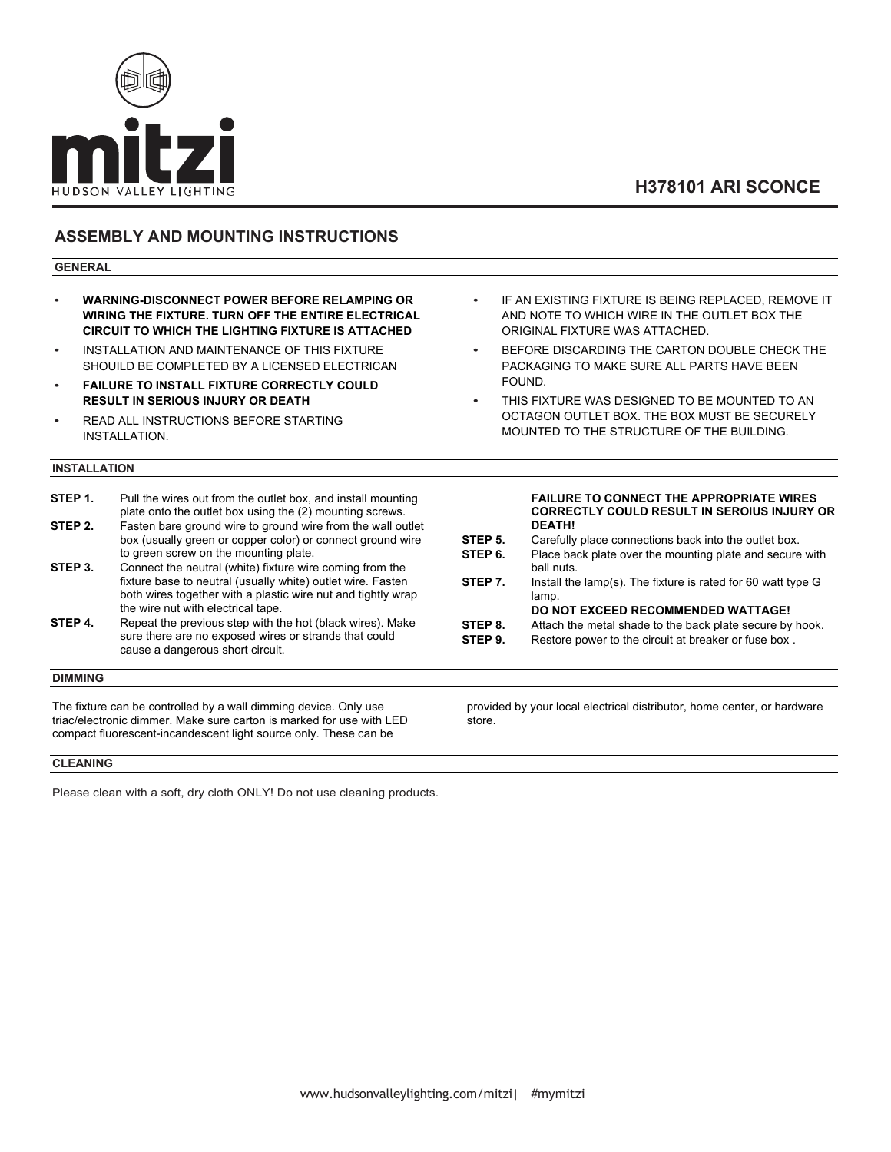

# **H378101 ARI SCONCE**

### **ASSEMBLY AND MOUNTING INSTRUCTIONS**

### **GENERAL**

- **WARNING-DISCONNECT POWER BEFORE RELAMPING OR WIRING THE FIXTURE. TURN OFF THE ENTIRE ELECTRICAL CIRCUIT TO WHICH THE LIGHTING FIXTURE IS ATTACHED**
- INSTALLATION AND MAINTENANCE OF THIS FIXTURE SHOUILD BE COMPLETED BY A LICENSED ELECTRICAN
- **FAILURE TO INSTALL FIXTURE CORRECTLY COULD RESULT IN SERIOUS INJURY OR DEATH**
- READ ALL INSTRUCTIONS BEFORE STARTING INSTALLATION.

### **INSTALLATION**

- **STEP 1.** Pull the wires out from the outlet box, and install mounting plate onto the outlet box using the (2) mounting screws. **STEP 2.** Fasten bare ground wire to ground wire from the wall outlet box (usually green or copper color) or connect ground wire to green screw on the mounting plate.
- **STEP 3.** Connect the neutral (white) fixture wire coming from the fixture base to neutral (usually white) outlet wire. Fasten both wires together with a plastic wire nut and tightly wrap the wire nut with electrical tape.
- **STEP 4.** Repeat the previous step with the hot (black wires). Make sure there are no exposed wires or strands that could cause a dangerous short circuit.

### **DIMMING**

The fixture can be controlled by a wall dimming device. Only use triac/electronic dimmer. Make sure carton is marked for use with LED compact fluorescent-incandescent light source only. These can be

**CLEANING**

Please clean with a soft, dry cloth ONLY! Do not use cleaning products.

- IF AN EXISTING FIXTURE IS BEING REPLACED. REMOVE IT AND NOTE TO WHICH WIRE IN THE OUTLET BOX THE ORIGINAL FIXTURE WAS ATTACHED.
- BEFORE DISCARDING THE CARTON DOUBLE CHECK THE PACKAGING TO MAKE SURE ALL PARTS HAVE BEEN FOUND.
- THIS FIXTURE WAS DESIGNED TO BE MOUNTED TO AN OCTAGON OUTLET BOX. THE BOX MUST BE SECURELY MOUNTED TO THE STRUCTURE OF THE BUILDING.

#### **FAILURE TO CONNECT THE APPROPRIATE WIRES CORRECTLY COULD RESULT IN SEROIUS INJURY OR DEATH!**

**STEP 5.** Carefully place connections back into the outlet box.<br>**STEP 6.** Place back plate over the mounting plate and secure Place back plate over the mounting plate and secure with ball nuts. **STEP 7.** Install the lamp(s). The fixture is rated for 60 watt type G lamp.

**DO NOT EXCEED RECOMMENDED WATTAGE!**

- **STEP 8.** Attach the metal shade to the back plate secure by hook.<br>**STEP 9.** Restore power to the circuit at breaker or fuse box.
- Restore power to the circuit at breaker or fuse box .

provided by your local electrical distributor, home center, or hardware store.